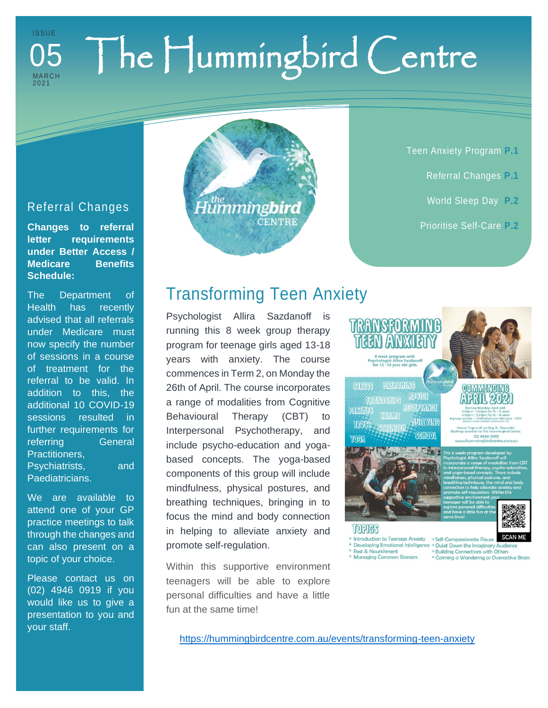### The Hummingbird Centre I S S U E MA R C H 202 1 05

### Referral Changes

**Changes to referral letter requirements under Better Access / Medicare Benefits Schedule:**

The Department of Health has recently advised that all referrals under Medicare must now specify the number of sessions in a course of treatment for the referral to be valid. In addition to this, the additional 10 COVID-19 sessions resulted in further requirements for referring **General** Practitioners, Psychiatrists, and Paediatricians.

We are available to attend one of your GP practice meetings to talk through the changes and can also present on a topic of your choice.

Please contact us on (02) 4946 0919 if you would like us to give a presentation to you and your staff.

# Transforming Teen Anxiety

**CENTRE** 

.<br>Humming**bird** 

Psychologist Allira Sazdanoff is running this 8 week group therapy program for teenage girls aged 13-18 years with anxiety. The course commences in Term 2, on Monday the 26th of April. The course incorporates a range of modalities from Cognitive Behavioural Therapy (CBT) to Interpersonal Psychotherapy, and include psycho-education and yogabased concepts. The yoga-based components of this group will include mindfulness, physical postures, and breathing techniques, bringing in to focus the mind and body connection in helping to alleviate anxiety and promote self-regulation.

Within this supportive environment teenagers will be able to explore personal difficulties and have a little fun at the same time!

k program wr<br>gist Allira Sazı<br>-18 year old q **COMMODE BRANK MOVIEE SAIROUEUSE REGEPTANCE PARTA**NE **BODAYAN'G** THUS **SCHOOL** YOHA

#### COMMENCING PRIN 202

Teen Anxiety Program **P.1**

Referral Changes **P.1**

World Sleep Day **P.2**

Prioritise Self-Care **P.2**

02 4946 0919



**TURIES** 

Introduction to Teenage Anxiety . Self-Compassionate Pause Developing Emotional Intelligence . Quiet Down the Imaginary Audience Rest & Nourishment a Nourismment<br>Raging Common Stressors

<sup>o</sup> Building Connections with Others <sup>o</sup> Calming a Wandering or Overactive Brain

<https://hummingbirdcentre.com.au/events/transforming-teen-anxiety>